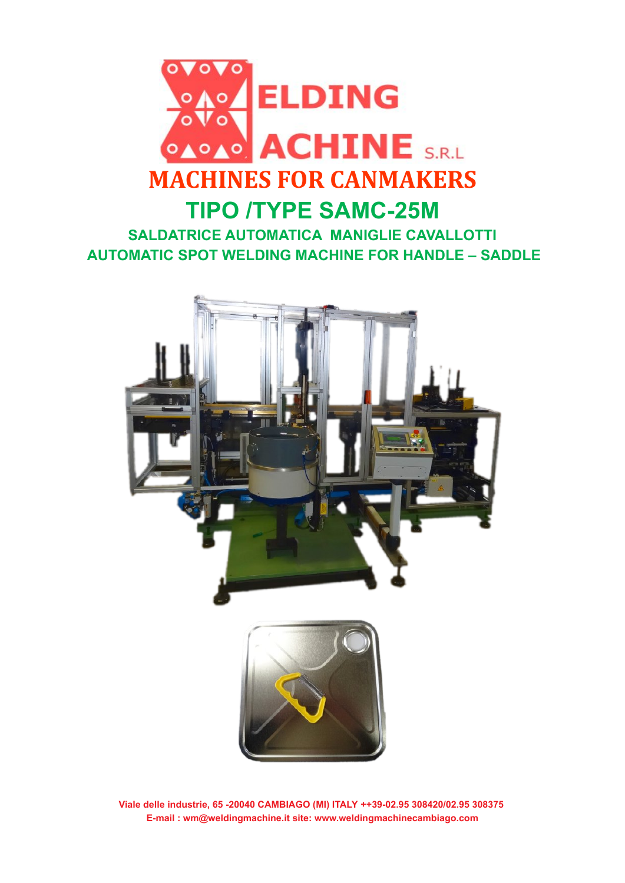

**SALDATRICE AUTOMATICA MANIGLIE CAVALLOTTI AUTOMATIC SPOT WELDING MACHINE FOR HANDLE – SADDLE**



**Viale delle industrie, 65 -20040 CAMBIAGO (MI) ITALY ++39-02.95 308420/02.95 308375 E-mail : wm@weldingmachine.it site: www.weldingmachinecambiago.com**